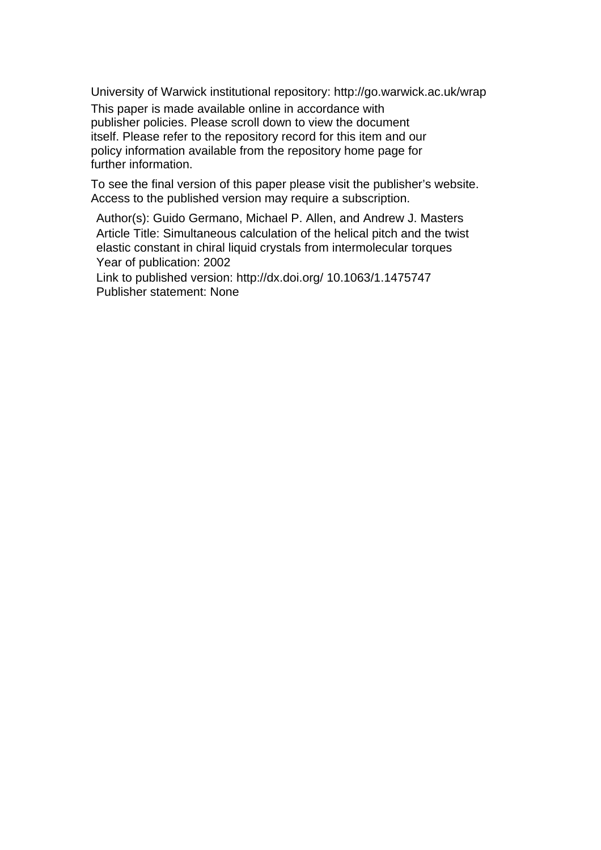University of Warwick institutional repository: <http://go.warwick.ac.uk/wrap>

This paper is made available online in accordance with publisher policies. Please scroll down to view the document itself. Please refer to the repository record for this item and our policy information available from the repository home page for further information.

To see the final version of this paper please visit the publisher's website. Access to the published version may require a subscription.

Author(s): [Guido Germano,](http://scitation.aip.org/vsearch/servlet/VerityServlet?KEY=ALL&uSeDeFaUlTkEy=TrUe&possible1=Germano%2C+Guido&possible1zone=author&maxdisp=25&smode=strresults&aqs=true) [Michael P. Allen,](http://scitation.aip.org/vsearch/servlet/VerityServlet?KEY=ALL&uSeDeFaUlTkEy=TrUe&possible1=Allen%2C+Michael+P.&possible1zone=author&maxdisp=25&smode=strresults&aqs=true) and [Andrew J. Masters](http://scitation.aip.org/vsearch/servlet/VerityServlet?KEY=ALL&uSeDeFaUlTkEy=TrUe&possible1=Masters%2C+Andrew+J.&possible1zone=author&maxdisp=25&smode=strresults&aqs=true) Article Title: Simultaneous calculation of the helical pitch and the twist elastic constant in chiral liquid crystals from intermolecular torques Year of publication: 2002

Link to published version: http://dx.doi.org/ 10.1063/1.1475747 Publisher statement: None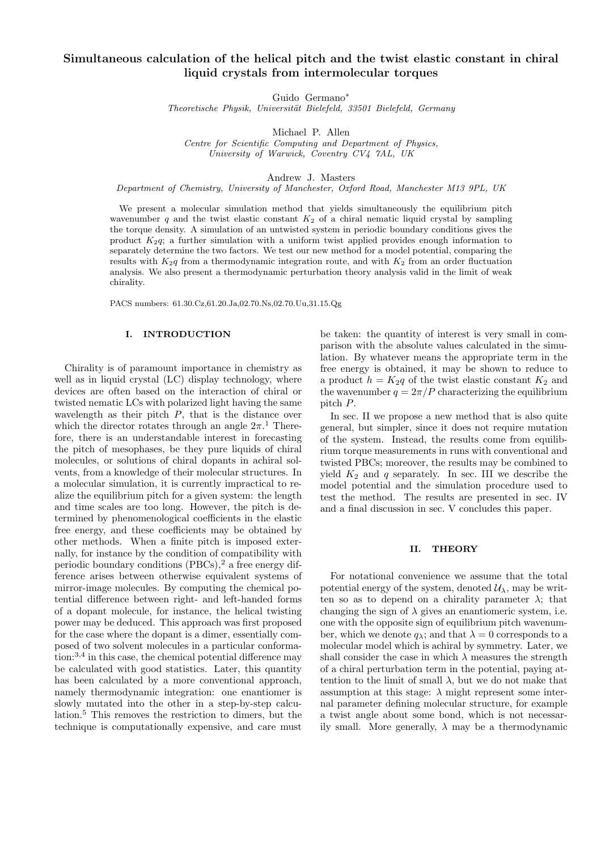# Simultaneous calculation of the helical pitch and the twist elastic constant in chiral liquid crystals from intermolecular torques

Guido Germano<sup>∗</sup>

Theoretische Physik, Universität Bielefeld, 33501 Bielefeld, Germany

Michael P. Allen

Centre for Scientific Computing and Department of Physics, University of Warwick, Coventry CV4 7AL, UK

Andrew J. Masters

Department of Chemistry, University of Manchester, Oxford Road, Manchester M13 9PL, UK

We present a molecular simulation method that yields simultaneously the equilibrium pitch wavenumber q and the twist elastic constant  $K_2$  of a chiral nematic liquid crystal by sampling the torque density. A simulation of an untwisted system in periodic boundary conditions gives the product  $K_2q$ ; a further simulation with a uniform twist applied provides enough information to separately determine the two factors. We test our new method for a model potential, comparing the results with  $K_{2q}$  from a thermodynamic integration route, and with  $K_{2}$  from an order fluctuation analysis. We also present a thermodynamic perturbation theory analysis valid in the limit of weak chirality.

PACS numbers: 61.30.Cz,61.20.Ja,02.70.Ns,02.70.Uu,31.15.Qg

# I. INTRODUCTION

Chirality is of paramount importance in chemistry as well as in liquid crystal (LC) display technology, where devices are often based on the interaction of chiral or twisted nematic LCs with polarized light having the same wavelength as their pitch  $P$ , that is the distance over which the director rotates through an angle  $2\pi$ <sup>1</sup>. Therefore, there is an understandable interest in forecasting the pitch of mesophases, be they pure liquids of chiral molecules, or solutions of chiral dopants in achiral solvents, from a knowledge of their molecular structures. In a molecular simulation, it is currently impractical to realize the equilibrium pitch for a given system: the length and time scales are too long. However, the pitch is determined by phenomenological coefficients in the elastic free energy, and these coefficients may be obtained by other methods. When a finite pitch is imposed externally, for instance by the condition of compatibility with periodic boundary conditions  $(PBCs)$ ,<sup>2</sup> a free energy difference arises between otherwise equivalent systems of mirror-image molecules. By computing the chemical potential difference between right- and left-handed forms of a dopant molecule, for instance, the helical twisting power may be deduced. This approach was first proposed for the case where the dopant is a dimer, essentially composed of two solvent molecules in a particular conforma- $\tau$  tion:<sup>3,4</sup> in this case, the chemical potential difference may be calculated with good statistics. Later, this quantity has been calculated by a more conventional approach, namely thermodynamic integration: one enantiomer is slowly mutated into the other in a step-by-step calculation.<sup>5</sup> This removes the restriction to dimers, but the technique is computationally expensive, and care must

be taken: the quantity of interest is very small in comparison with the absolute values calculated in the simulation. By whatever means the appropriate term in the free energy is obtained, it may be shown to reduce to a product  $h = K_2q$  of the twist elastic constant  $K_2$  and the wavenumber  $q = 2\pi/P$  characterizing the equilibrium pitch P.

In sec. II we propose a new method that is also quite general, but simpler, since it does not require mutation of the system. Instead, the results come from equilibrium torque measurements in runs with conventional and twisted PBCs; moreover, the results may be combined to yield  $K_2$  and q separately. In sec. III we describe the model potential and the simulation procedure used to test the method. The results are presented in sec. IV and a final discussion in sec. V concludes this paper.

# II. THEORY

For notational convenience we assume that the total potential energy of the system, denoted  $\mathcal{U}_{\lambda}$ , may be written so as to depend on a chirality parameter  $\lambda$ ; that changing the sign of  $\lambda$  gives an enantiomeric system, i.e. one with the opposite sign of equilibrium pitch wavenumber, which we denote  $q_{\lambda}$ ; and that  $\lambda = 0$  corresponds to a molecular model which is achiral by symmetry. Later, we shall consider the case in which  $\lambda$  measures the strength of a chiral perturbation term in the potential, paying attention to the limit of small  $\lambda$ , but we do not make that assumption at this stage:  $\lambda$  might represent some internal parameter defining molecular structure, for example a twist angle about some bond, which is not necessarily small. More generally,  $\lambda$  may be a thermodynamic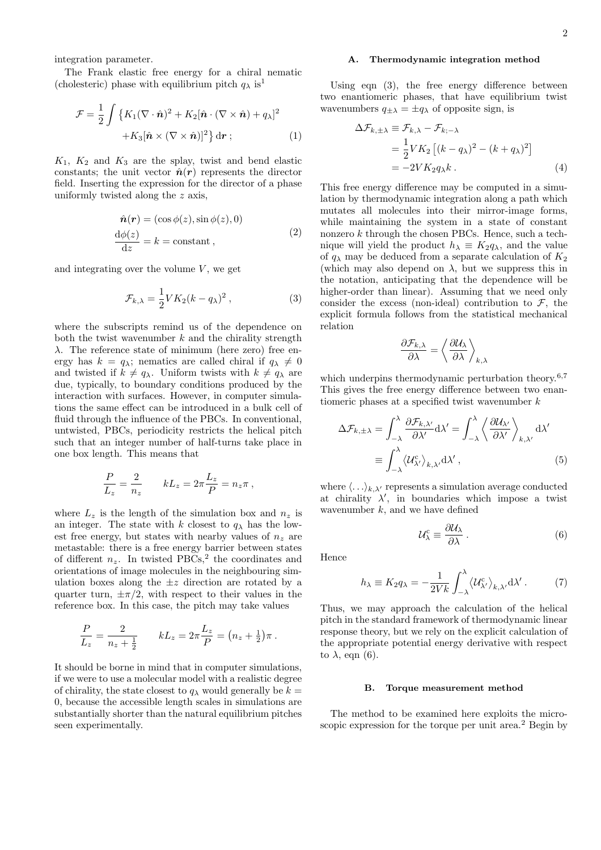integration parameter.

The Frank elastic free energy for a chiral nematic (cholesteric) phase with equilibrium pitch  $q_{\lambda}$  is<sup>1</sup>

$$
\mathcal{F} = \frac{1}{2} \int \left\{ K_1 (\nabla \cdot \hat{\mathbf{n}})^2 + K_2 [\hat{\mathbf{n}} \cdot (\nabla \times \hat{\mathbf{n}}) + q_\lambda]^2 + K_3 [\hat{\mathbf{n}} \times (\nabla \times \hat{\mathbf{n}})]^2 \right\} d\mathbf{r};
$$
\n(1)

 $K_1$ ,  $K_2$  and  $K_3$  are the splay, twist and bend elastic constants; the unit vector  $\hat{n}(r)$  represents the director field. Inserting the expression for the director of a phase uniformly twisted along the z axis,

$$
\hat{n}(r) = (\cos \phi(z), \sin \phi(z), 0)
$$
  
\n
$$
\frac{d\phi(z)}{dz} = k = \text{constant},
$$
\n(2)

and integrating over the volume  $V$ , we get

$$
\mathcal{F}_{k,\lambda} = \frac{1}{2} V K_2 (k - q_\lambda)^2 , \qquad (3)
$$

where the subscripts remind us of the dependence on both the twist wavenumber  $k$  and the chirality strength λ. The reference state of minimum (here zero) free energy has  $k = q_{\lambda}$ ; nematics are called chiral if  $q_{\lambda} \neq 0$ and twisted if  $k \neq q_\lambda$ . Uniform twists with  $k \neq q_\lambda$  are due, typically, to boundary conditions produced by the interaction with surfaces. However, in computer simulations the same effect can be introduced in a bulk cell of fluid through the influence of the PBCs. In conventional, untwisted, PBCs, periodicity restricts the helical pitch such that an integer number of half-turns take place in one box length. This means that

$$
\frac{P}{L_z} = \frac{2}{n_z} \qquad kL_z = 2\pi \frac{L_z}{P} = n_z \pi ,
$$

where  $L_z$  is the length of the simulation box and  $n_z$  is an integer. The state with k closest to  $q_{\lambda}$  has the lowest free energy, but states with nearby values of  $n_z$  are metastable: there is a free energy barrier between states of different  $n_z$ . In twisted PBCs,<sup>2</sup> the coordinates and orientations of image molecules in the neighbouring simulation boxes along the  $\pm z$  direction are rotated by a quarter turn,  $\pm \pi/2$ , with respect to their values in the reference box. In this case, the pitch may take values

$$
\frac{P}{L_z} = \frac{2}{n_z + \frac{1}{2}} \qquad kL_z = 2\pi \frac{L_z}{P} = (n_z + \frac{1}{2})\pi.
$$

It should be borne in mind that in computer simulations, if we were to use a molecular model with a realistic degree of chirality, the state closest to  $q_{\lambda}$  would generally be  $k =$ 0, because the accessible length scales in simulations are substantially shorter than the natural equilibrium pitches seen experimentally.

# A. Thermodynamic integration method

Using eqn (3), the free energy difference between two enantiomeric phases, that have equilibrium twist wavenumbers  $q_{\pm\lambda} = \pm q_{\lambda}$  of opposite sign, is

$$
\Delta \mathcal{F}_{k,\pm\lambda} \equiv \mathcal{F}_{k,\lambda} - \mathcal{F}_{k;-\lambda}
$$
  
=  $\frac{1}{2} V K_2 \left[ (k - q_\lambda)^2 - (k + q_\lambda)^2 \right]$   
=  $-2 V K_2 q_\lambda k$ . (4)

This free energy difference may be computed in a simulation by thermodynamic integration along a path which mutates all molecules into their mirror-image forms, while maintaining the system in a state of constant nonzero k through the chosen PBCs. Hence, such a technique will yield the product  $h_{\lambda} \equiv K_2 q_{\lambda}$ , and the value of  $q_{\lambda}$  may be deduced from a separate calculation of  $K_2$ (which may also depend on  $\lambda$ , but we suppress this in the notation, anticipating that the dependence will be higher-order than linear). Assuming that we need only consider the excess (non-ideal) contribution to  $\mathcal{F}$ , the explicit formula follows from the statistical mechanical relation

$$
\frac{\partial \mathcal{F}_{k,\lambda}}{\partial \lambda} = \left\langle \frac{\partial \mathcal{U}_{\lambda}}{\partial \lambda} \right\rangle_{k,\lambda}
$$

which underpins thermodynamic perturbation theory.<sup>6,7</sup> This gives the free energy difference between two enantiomeric phases at a specified twist wavenumber  $k$ 

$$
\Delta \mathcal{F}_{k,\pm\lambda} = \int_{-\lambda}^{\lambda} \frac{\partial \mathcal{F}_{k,\lambda'}}{\partial \lambda'} d\lambda' = \int_{-\lambda}^{\lambda} \left\langle \frac{\partial \mathcal{U}_{\lambda'}}{\partial \lambda'} \right\rangle_{k,\lambda'} d\lambda'
$$

$$
\equiv \int_{-\lambda}^{\lambda} \left\langle \mathcal{U}_{\lambda'}^c \right\rangle_{k,\lambda'} d\lambda', \tag{5}
$$

where  $\langle \ldots \rangle_{k,\lambda'}$  represents a simulation average conducted at chirality  $\lambda'$ , in boundaries which impose a twist wavenumber  $k$ , and we have defined

$$
\mathcal{U}_{\lambda}^{\rm c} \equiv \frac{\partial \mathcal{U}_{\lambda}}{\partial \lambda} \,. \tag{6}
$$

Hence

$$
h_{\lambda} \equiv K_2 q_{\lambda} = -\frac{1}{2Vk} \int_{-\lambda}^{\lambda} \langle \mathcal{U}_{\lambda}^c \rangle_{k,\lambda'} d\lambda' \,. \tag{7}
$$

Thus, we may approach the calculation of the helical pitch in the standard framework of thermodynamic linear response theory, but we rely on the explicit calculation of the appropriate potential energy derivative with respect to  $\lambda$ , eqn (6).

### B. Torque measurement method

The method to be examined here exploits the microscopic expression for the torque per unit area.<sup>2</sup> Begin by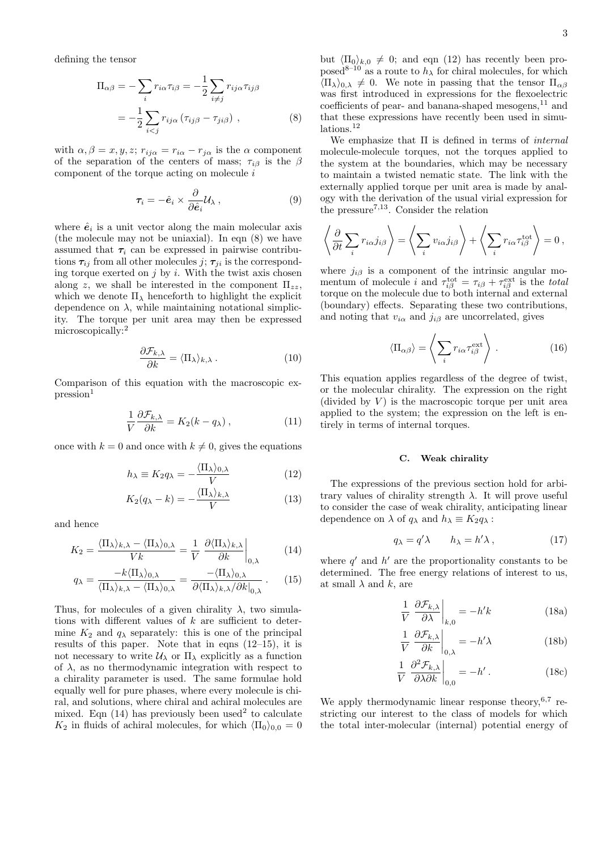defining the tensor

$$
\Pi_{\alpha\beta} = -\sum_{i} r_{i\alpha} \tau_{i\beta} = -\frac{1}{2} \sum_{i \neq j} r_{ij\alpha} \tau_{ij\beta}
$$

$$
= -\frac{1}{2} \sum_{i < j} r_{ij\alpha} \left( \tau_{ij\beta} - \tau_{ji\beta} \right) , \tag{8}
$$

with  $\alpha, \beta = x, y, z; r_{ij\alpha} = r_{i\alpha} - r_{j\alpha}$  is the  $\alpha$  component of the separation of the centers of mass;  $\tau_{i\beta}$  is the  $\beta$ component of the torque acting on molecule  $i$ 

$$
\tau_i = -\hat{e}_i \times \frac{\partial}{\partial \hat{e}_i} \mathcal{U}_{\lambda} , \qquad (9)
$$

where  $\hat{e}_i$  is a unit vector along the main molecular axis (the molecule may not be uniaxial). In eqn (8) we have assumed that  $\tau_i$  can be expressed in pairwise contributions  $\tau_{ij}$  from all other molecules  $j; \tau_{ji}$  is the corresponding torque exerted on  $j$  by  $i$ . With the twist axis chosen along z, we shall be interested in the component  $\Pi_{zz}$ , which we denote  $\Pi_{\lambda}$  henceforth to highlight the explicit dependence on  $\lambda$ , while maintaining notational simplicity. The torque per unit area may then be expressed microscopically:<sup>2</sup>

$$
\frac{\partial \mathcal{F}_{k,\lambda}}{\partial k} = \langle \Pi_{\lambda} \rangle_{k,\lambda} . \tag{10}
$$

Comparison of this equation with the macroscopic ex $presion<sup>1</sup>$ 

$$
\frac{1}{V}\frac{\partial \mathcal{F}_{k,\lambda}}{\partial k} = K_2(k - q_\lambda),\tag{11}
$$

once with  $k = 0$  and once with  $k \neq 0$ , gives the equations

$$
h_{\lambda} \equiv K_2 q_{\lambda} = -\frac{\langle \Pi_{\lambda} \rangle_{0,\lambda}}{V} \tag{12}
$$

$$
K_2(q_{\lambda} - k) = -\frac{\langle \Pi_{\lambda} \rangle_{k, \lambda}}{V} \tag{13}
$$

and hence

$$
K_2 = \frac{\langle \Pi_\lambda \rangle_{k,\lambda} - \langle \Pi_\lambda \rangle_{0,\lambda}}{Vk} = \frac{1}{V} \left. \frac{\partial \langle \Pi_\lambda \rangle_{k,\lambda}}{\partial k} \right|_{0,\lambda} \tag{14}
$$

$$
q_{\lambda} = \frac{-k \langle \Pi_{\lambda} \rangle_{0,\lambda}}{\langle \Pi_{\lambda} \rangle_{k,\lambda} - \langle \Pi_{\lambda} \rangle_{0,\lambda}} = \frac{-\langle \Pi_{\lambda} \rangle_{0,\lambda}}{\partial \langle \Pi_{\lambda} \rangle_{k,\lambda} / \partial k|_{0,\lambda}}.
$$
 (15)

Thus, for molecules of a given chirality  $\lambda$ , two simulations with different values of  $k$  are sufficient to determine  $K_2$  and  $q_\lambda$  separately: this is one of the principal results of this paper. Note that in eqns (12–15), it is not necessary to write  $\mathcal{U}_{\lambda}$  or  $\Pi_{\lambda}$  explicitly as a function of  $\lambda$ , as no thermodynamic integration with respect to a chirality parameter is used. The same formulae hold equally well for pure phases, where every molecule is chiral, and solutions, where chiral and achiral molecules are mixed. Eqn  $(14)$  has previously been used<sup>2</sup> to calculate  $K_2$  in fluids of achiral molecules, for which  $\langle \Pi_0 \rangle_{0,0} = 0$  but  $\langle \Pi_0 \rangle_{k,0} \neq 0$ ; and eqn (12) has recently been proposed<sup>8–10</sup> as a route to  $h_{\lambda}$  for chiral molecules, for which  $\langle \Pi_{\lambda} \rangle_{0,\lambda} \neq 0$ . We note in passing that the tensor  $\Pi_{\alpha\beta}$ was first introduced in expressions for the flexoelectric coefficients of pear- and banana-shaped mesogens, $^{11}$  and that these expressions have recently been used in simulations.<sup>12</sup>

We emphasize that  $\Pi$  is defined in terms of *internal* molecule-molecule torques, not the torques applied to the system at the boundaries, which may be necessary to maintain a twisted nematic state. The link with the externally applied torque per unit area is made by analogy with the derivation of the usual virial expression for the pressure<sup>7,13</sup>. Consider the relation

$$
\left\langle \frac{\partial}{\partial t} \sum_{i} r_{i\alpha} j_{i\beta} \right\rangle = \left\langle \sum_{i} v_{i\alpha} j_{i\beta} \right\rangle + \left\langle \sum_{i} r_{i\alpha} \tau_{i\beta}^{\text{tot}} \right\rangle = 0,
$$

where  $j_{i\beta}$  is a component of the intrinsic angular momentum of molecule i and  $\tau_{i\beta}^{\text{tot}} = \tau_{i\beta} + \tau_{i\beta}^{\text{ext}}$  is the total torque on the molecule due to both internal and external (boundary) effects. Separating these two contributions, and noting that  $v_{i\alpha}$  and  $j_{i\beta}$  are uncorrelated, gives

$$
\langle \Pi_{\alpha\beta} \rangle = \left\langle \sum_{i} r_{i\alpha} \tau_{i\beta}^{\text{ext}} \right\rangle . \tag{16}
$$

This equation applies regardless of the degree of twist, or the molecular chirality. The expression on the right (divided by  $V$ ) is the macroscopic torque per unit area applied to the system; the expression on the left is entirely in terms of internal torques.

# C. Weak chirality

The expressions of the previous section hold for arbitrary values of chirality strength  $\lambda$ . It will prove useful to consider the case of weak chirality, anticipating linear dependence on  $\lambda$  of  $q_{\lambda}$  and  $h_{\lambda} \equiv K_2 q_{\lambda}$ :

$$
q_{\lambda} = q' \lambda \qquad h_{\lambda} = h' \lambda , \qquad (17)
$$

where  $q'$  and  $h'$  are the proportionality constants to be determined. The free energy relations of interest to us, at small  $\lambda$  and k, are

$$
\frac{1}{V} \left. \frac{\partial \mathcal{F}_{k,\lambda}}{\partial \lambda} \right|_{k,0} = -h'k \tag{18a}
$$

$$
\frac{1}{V} \left. \frac{\partial \mathcal{F}_{k,\lambda}}{\partial k} \right|_{0,\lambda} = -h' \lambda \tag{18b}
$$

$$
\frac{1}{V} \left. \frac{\partial^2 \mathcal{F}_{k,\lambda}}{\partial \lambda \partial k} \right|_{0,0} = -h' \,. \tag{18c}
$$

We apply thermodynamic linear response theory,  $6,7$  restricting our interest to the class of models for which the total inter-molecular (internal) potential energy of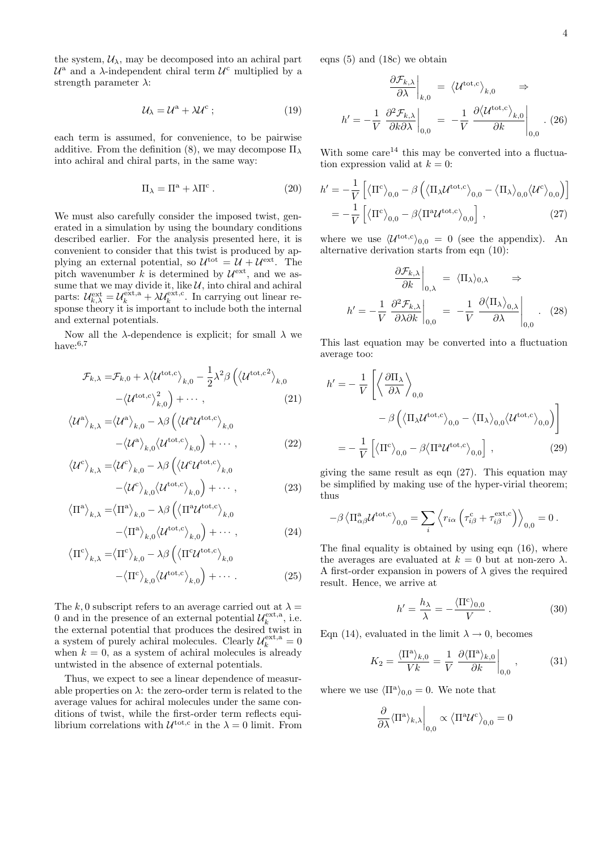the system,  $U_{\lambda}$ , may be decomposed into an achiral part  $\mathcal{U}^{\mathbf{a}}$  and a  $\lambda$ -independent chiral term  $\mathcal{U}^{\mathbf{c}}$  multiplied by a strength parameter  $\lambda$ :

$$
\mathcal{U}_{\lambda} = \mathcal{U}^{\rm a} + \lambda \mathcal{U}^{\rm c} \tag{19}
$$

each term is assumed, for convenience, to be pairwise additive. From the definition (8), we may decompose  $\Pi_{\lambda}$ into achiral and chiral parts, in the same way:

$$
\Pi_{\lambda} = \Pi^{a} + \lambda \Pi^{c} . \qquad (20)
$$

We must also carefully consider the imposed twist, generated in a simulation by using the boundary conditions described earlier. For the analysis presented here, it is convenient to consider that this twist is produced by applying an external potential, so  $\mathcal{U}^{\text{tot}} = \mathcal{U} + \mathcal{U}^{\text{ext}}$ . The pitch wavenumber k is determined by  $\mathcal{U}^{\text{ext}}$ , and we assume that we may divide it, like  $\mathcal{U}$ , into chiral and achiral  $\mathcal{U}^{\text{ext}}_{k,\lambda} = \mathcal{U}^{\text{ext},\text{a}}_k + \lambda \mathcal{U}^{\text{ext},\text{c}}_k$  $\kappa^{ext,c}$ . In carrying out linear response theory it is important to include both the internal and external potentials.

Now all the  $λ$ -dependence is explicit; for small  $λ$  we have: $6,7$ 

$$
\mathcal{F}_{k,\lambda} = \mathcal{F}_{k,0} + \lambda \langle \mathcal{U}^{\text{tot,c}} \rangle_{k,0} - \frac{1}{2} \lambda^2 \beta \left( \langle \mathcal{U}^{\text{tot,c2}} \rangle_{k,0} - \langle \mathcal{U}^{\text{tot,c2}} \rangle_{k,0} \right)
$$
\n
$$
- \langle \mathcal{U}^{\text{tot,c}} \rangle_{k,0}^2 + \cdots, \qquad (21)
$$

$$
\langle \mathcal{U}^{\mathbf{a}} \rangle_{k,\lambda} = \langle \mathcal{U}^{\mathbf{a}} \rangle_{k,0} - \lambda \beta \left( \langle \mathcal{U}^{\mathbf{a}} \mathcal{U}^{\text{tot,c}} \rangle_{k,0} - \langle \mathcal{U}^{\mathbf{a}} \rangle_{k,0} \langle \mathcal{U}^{\text{tot,c}} \rangle_{k,0} \right) + \cdots,
$$
\n(22)

$$
\langle \mathcal{U}^c \rangle_{k,\lambda} = \langle \mathcal{U}^c \rangle_{k,0} - \lambda \beta \left( \langle \mathcal{U}^c \mathcal{U}^{\text{tot},c} \rangle_{k,0} - \langle \mathcal{U}^c \rangle_{k,0} \langle \mathcal{U}^{\text{tot},c} \rangle_{k,0} \right) + \cdots, \qquad (23)
$$

$$
\langle \Pi^{a} \rangle_{k,\lambda} = \langle \Pi^{a} \rangle_{k,0} - \lambda \beta \left( \langle \Pi^{a} \mathcal{U}^{tot,c} \rangle_{k,0} - \langle \Pi^{a} \rangle_{k,0} \mathcal{U}^{tot,c} \rangle_{k,0} \right) + \cdots,
$$
\n(24)

$$
\langle \Pi^{c} \rangle_{k,\lambda} = \langle \Pi^{c} \rangle_{k,0} - \lambda \beta \left( \langle \Pi^{c} \mathcal{U}^{tot,c} \rangle_{k,0} - \langle \Pi^{c} \rangle_{k,0} \langle \mathcal{U}^{tot,c} \rangle_{k,0} \right) + \cdots
$$
 (25)

The k, 0 subscript refers to an average carried out at  $\lambda =$ 0 and in the presence of an external potential  $\mathcal{U}_k^{\text{ext},a}$  $_k^{\text{ext},a}$ , i.e. the external potential that produces the desired twist in a system of purely achiral molecules. Clearly  $\mathcal{U}_k^{\text{ext},a} = 0$ when  $k = 0$ , as a system of achiral molecules is already untwisted in the absence of external potentials.

Thus, we expect to see a linear dependence of measurable properties on  $\lambda$ : the zero-order term is related to the average values for achiral molecules under the same conditions of twist, while the first-order term reflects equilibrium correlations with  $\mathcal{U}^{\text{tot},c}$  in the  $\lambda = 0$  limit. From

eqns (5) and (18c) we obtain

$$
\left. \frac{\partial \mathcal{F}_{k,\lambda}}{\partial \lambda} \right|_{k,0} = \left\langle \mathcal{U}^{\text{tot},c} \right\rangle_{k,0} \Rightarrow
$$
\n
$$
h' = -\frac{1}{V} \left. \frac{\partial^2 \mathcal{F}_{k,\lambda}}{\partial k \partial \lambda} \right|_{0,0} = -\frac{1}{V} \left. \frac{\partial \left\langle \mathcal{U}^{\text{tot},c} \right\rangle_{k,0}}{\partial k} \right|_{0,0} . (26)
$$

With some  $care<sup>14</sup>$  this may be converted into a fluctuation expression valid at  $k = 0$ :

$$
h' = -\frac{1}{V} \left[ \langle \Pi^c \rangle_{0,0} - \beta \left( \langle \Pi_{\lambda} \mathcal{U}^{tot,c} \rangle_{0,0} - \langle \Pi_{\lambda} \rangle_{0,0} \langle \mathcal{U}^c \rangle_{0,0} \right) \right]
$$
  
= 
$$
-\frac{1}{V} \left[ \langle \Pi^c \rangle_{0,0} - \beta \langle \Pi^a \mathcal{U}^{tot,c} \rangle_{0,0} \right],
$$
 (27)

where we use  $\langle U^{\text{tot},c} \rangle_{0,0} = 0$  (see the appendix). An alternative derivation starts from eqn (10):

$$
\frac{\partial \mathcal{F}_{k,\lambda}}{\partial k}\Big|_{0,\lambda} = \langle \Pi_{\lambda} \rangle_{0,\lambda} \Rightarrow
$$

$$
h' = -\frac{1}{V} \frac{\partial^2 \mathcal{F}_{k,\lambda}}{\partial \lambda \partial k}\Big|_{0,0} = -\frac{1}{V} \frac{\partial \langle \Pi_{\lambda} \rangle_{0,\lambda}}{\partial \lambda}\Big|_{0,0} . (28)
$$

This last equation may be converted into a fluctuation average too:

$$
h' = -\frac{1}{V} \left[ \left\langle \frac{\partial \Pi_{\lambda}}{\partial \lambda} \right\rangle_{0,0} - \beta \left( \left\langle \Pi_{\lambda} \mathcal{U}^{\text{tot,c}} \right\rangle_{0,0} - \left\langle \Pi_{\lambda} \right\rangle_{0,0} \left\langle \mathcal{U}^{\text{tot,c}} \right\rangle_{0,0} \right] \right]
$$

$$
= -\frac{1}{V} \left[ \left\langle \Pi^{c} \right\rangle_{0,0} - \beta \left\langle \Pi^{a} \mathcal{U}^{\text{tot,c}} \right\rangle_{0,0} \right], \qquad (29)
$$

giving the same result as eqn (27). This equation may be simplified by making use of the hyper-virial theorem; thus

$$
-\beta \left\langle \Pi^{\rm a}_{\alpha\beta} \mathcal{U}^{\rm tot,c} \right\rangle_{0,0} = \sum_i \left\langle r_{i\alpha} \left( \tau^{\rm c}_{i\beta} + \tau^{\rm ext,c}_{i\beta} \right) \right\rangle_{0,0} = 0 \ .
$$

The final equality is obtained by using eqn (16), where the averages are evaluated at  $k = 0$  but at non-zero  $\lambda$ . A first-order expansion in powers of  $\lambda$  gives the required result. Hence, we arrive at

$$
h' = \frac{h_{\lambda}}{\lambda} = -\frac{\langle \Pi^c \rangle_{0,0}}{V}.
$$
 (30)

Eqn (14), evaluated in the limit  $\lambda \to 0$ , becomes

$$
K_2 = \frac{\langle \Pi^{\mathbf{a}} \rangle_{k,0}}{Vk} = \frac{1}{V} \left. \frac{\partial \langle \Pi^{\mathbf{a}} \rangle_{k,0}}{\partial k} \right|_{0,0}, \tag{31}
$$

where we use  $\langle \Pi^a \rangle_{0,0} = 0$ . We note that

$$
\left. \frac{\partial}{\partial \lambda} \langle \Pi^{\mathbf{a}} \rangle_{k,\lambda} \right|_{0,0} \propto \left\langle \Pi^{\mathbf{a}} \mathcal{U}^{\mathbf{c}} \right\rangle_{0,0} = 0
$$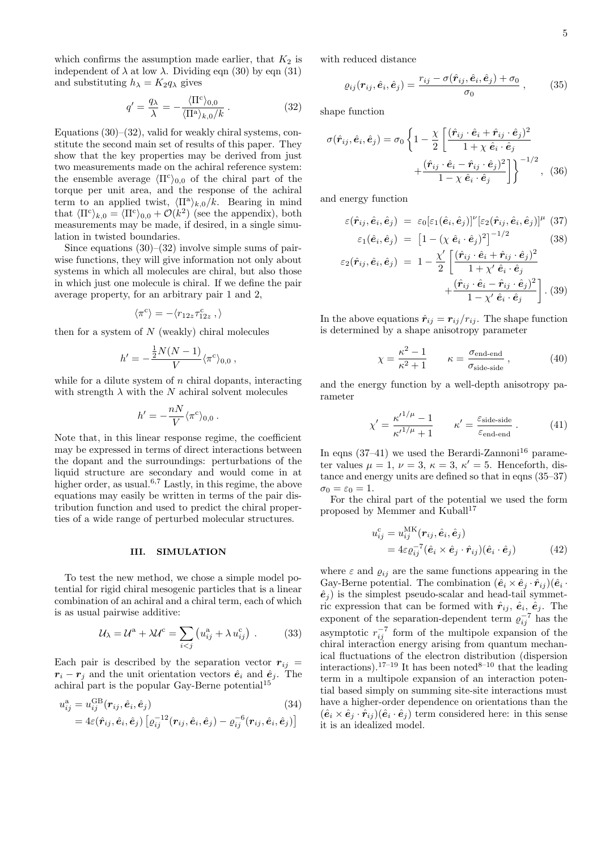which confirms the assumption made earlier, that  $K_2$  is independent of  $\lambda$  at low  $\lambda$ . Dividing eqn (30) by eqn (31) and substituting  $h_{\lambda} = K_2 q_{\lambda}$  gives

$$
q' = \frac{q_{\lambda}}{\lambda} = -\frac{\langle \Pi^{c} \rangle_{0,0}}{\langle \Pi^{a} \rangle_{k,0} / k} . \tag{32}
$$

Equations  $(30)$ – $(32)$ , valid for weakly chiral systems, constitute the second main set of results of this paper. They show that the key properties may be derived from just two measurements made on the achiral reference system: the ensemble average  $\langle \Pi^c \rangle_{0,0}$  of the chiral part of the torque per unit area, and the response of the achiral term to an applied twist,  $\langle \Pi^a \rangle_{k,0}/k$ . Bearing in mind that  $\langle \Pi^c \rangle_{k,0} = \langle \Pi^c \rangle_{0,0} + \mathcal{O}(k^2)$  (see the appendix), both measurements may be made, if desired, in a single simulation in twisted boundaries.

Since equations  $(30)$ – $(32)$  involve simple sums of pairwise functions, they will give information not only about systems in which all molecules are chiral, but also those in which just one molecule is chiral. If we define the pair average property, for an arbitrary pair 1 and 2,

$$
\langle \pi^{\rm c} \rangle = - \langle r_{12z} \tau^{\rm c}_{12z} \: , \rangle
$$

then for a system of  $N$  (weakly) chiral molecules

$$
h' = -\frac{\frac{1}{2}N(N-1)}{V}\langle \pi^c \rangle_{0,0},
$$

while for a dilute system of  $n$  chiral dopants, interacting with strength  $\lambda$  with the N achiral solvent molecules

$$
h'=-\frac{nN}{V}\langle\pi^{\rm c}\rangle_{0,0}\ .
$$

Note that, in this linear response regime, the coefficient may be expressed in terms of direct interactions between the dopant and the surroundings: perturbations of the liquid structure are secondary and would come in at higher order, as usual.<sup>6,7</sup> Lastly, in this regime, the above equations may easily be written in terms of the pair distribution function and used to predict the chiral properties of a wide range of perturbed molecular structures.

#### III. SIMULATION

To test the new method, we chose a simple model potential for rigid chiral mesogenic particles that is a linear combination of an achiral and a chiral term, each of which is as usual pairwise additive:

$$
\mathcal{U}_{\lambda} = \mathcal{U}^{\mathbf{a}} + \lambda \mathcal{U}^{\mathbf{c}} = \sum_{i < j} \left( u_{ij}^{\mathbf{a}} + \lambda \, u_{ij}^{\mathbf{c}} \right) \,. \tag{33}
$$

Each pair is described by the separation vector  $r_{ij}$  =  $r_i - r_j$  and the unit orientation vectors  $\hat{e}_i$  and  $\hat{e}_j$ . The achiral part is the popular Gay-Berne potential<sup>15</sup>

$$
u_{ij}^{\rm a} = u_{ij}^{\rm GB}(\mathbf{r}_{ij}, \hat{\mathbf{e}}_i, \hat{\mathbf{e}}_j)
$$
(34)  
=  $4\varepsilon(\hat{\mathbf{r}}_{ij}, \hat{\mathbf{e}}_i, \hat{\mathbf{e}}_j) [\varrho_{ij}^{-12}(\mathbf{r}_{ij}, \hat{\mathbf{e}}_i, \hat{\mathbf{e}}_j) - \varrho_{ij}^{-6}(\mathbf{r}_{ij}, \hat{\mathbf{e}}_i, \hat{\mathbf{e}}_j)]$ 

with reduced distance

$$
\varrho_{ij}(\boldsymbol{r}_{ij},\hat{\boldsymbol{e}}_i,\hat{\boldsymbol{e}}_j)=\frac{r_{ij}-\sigma(\hat{\boldsymbol{r}}_{ij},\hat{\boldsymbol{e}}_i,\hat{\boldsymbol{e}}_j)+\sigma_0}{\sigma_0}\,,\qquad(35)
$$

shape function

$$
\sigma(\hat{r}_{ij}, \hat{e}_i, \hat{e}_j) = \sigma_0 \left\{ 1 - \frac{\chi}{2} \left[ \frac{(\hat{r}_{ij} \cdot \hat{e}_i + \hat{r}_{ij} \cdot \hat{e}_j)^2}{1 + \chi \hat{e}_i \cdot \hat{e}_j} + \frac{(\hat{r}_{ij} \cdot \hat{e}_i - \hat{r}_{ij} \cdot \hat{e}_j)^2}{1 - \chi \hat{e}_i \cdot \hat{e}_j} \right] \right\}^{-1/2}, \quad (36)
$$

and energy function

$$
\varepsilon(\hat{\boldsymbol{r}}_{ij}, \hat{\boldsymbol{e}}_i, \hat{\boldsymbol{e}}_j) = \varepsilon_0[\varepsilon_1(\hat{\boldsymbol{e}}_i, \hat{\boldsymbol{e}}_j)]^\nu[\varepsilon_2(\hat{\boldsymbol{r}}_{ij}, \hat{\boldsymbol{e}}_i, \hat{\boldsymbol{e}}_j)]^\mu
$$
(37)  

$$
\varepsilon_1(\hat{\boldsymbol{e}}_i, \hat{\boldsymbol{e}}_j) = [1 - (\chi \hat{\boldsymbol{e}}_i \cdot \hat{\boldsymbol{e}}_j)^2]^{-1/2}
$$
(38)

$$
\varepsilon_{2}(\hat{r}_{ij}, \hat{e}_i, \hat{e}_j) = 1 - \frac{\chi'}{2} \left[ \frac{(\hat{r}_{ij} \cdot \hat{e}_i + \hat{r}_{ij} \cdot \hat{e}_j)^2}{1 + \chi' \hat{e}_i \cdot \hat{e}_j} + \frac{(\hat{r}_{ij} \cdot \hat{e}_i - \hat{r}_{ij} \cdot \hat{e}_j)^2}{1 - \chi' \hat{e}_i \cdot \hat{e}_j} \right]. (39)
$$

In the above equations  $\hat{r}_{ij} = r_{ij}/r_{ij}$ . The shape function is determined by a shape anisotropy parameter

$$
\chi = \frac{\kappa^2 - 1}{\kappa^2 + 1} \qquad \kappa = \frac{\sigma_{\text{end-end}}}{\sigma_{\text{side-side}}},\tag{40}
$$

and the energy function by a well-depth anisotropy parameter

$$
\chi' = \frac{\kappa'^{1/\mu} - 1}{\kappa'^{1/\mu} + 1} \qquad \kappa' = \frac{\varepsilon_{\text{side-side}}}{\varepsilon_{\text{end-end}}} \,. \tag{41}
$$

In eqns  $(37-41)$  we used the Berardi-Zannoni<sup>16</sup> parameter values  $\mu = 1, \nu = 3, \kappa = 3, \kappa' = 5$ . Henceforth, distance and energy units are defined so that in eqns (35–37)  $\sigma_0 = \varepsilon_0 = 1.$ 

For the chiral part of the potential we used the form proposed by Memmer and Kuball<sup>17</sup>

$$
u_{ij}^{\rm c} = u_{ij}^{\rm MK}(\mathbf{r}_{ij}, \hat{\mathbf{e}}_i, \hat{\mathbf{e}}_j)
$$
  
=  $4\varepsilon \varrho_{ij}^{-7}(\hat{\mathbf{e}}_i \times \hat{\mathbf{e}}_j \cdot \hat{\mathbf{r}}_{ij})(\hat{\mathbf{e}}_i \cdot \hat{\mathbf{e}}_j)$  (42)

where  $\varepsilon$  and  $\varrho_{ij}$  are the same functions appearing in the Gay-Berne potential. The combination  $(\hat{e}_i \times \hat{e}_j \cdot \hat{r}_{ij})(\hat{e}_i \cdot$  $\hat{e}_i$ ) is the simplest pseudo-scalar and head-tail symmetric expression that can be formed with  $\hat{r}_{ij}$ ,  $\hat{e}_i$ ,  $\hat{e}_j$ . The exponent of the separation-dependent term  $\varrho_{ij}^{-7}$  has the asymptotic  $r_{ij}^{-7}$  form of the multipole expansion of the chiral interaction energy arising from quantum mechanical fluctuations of the electron distribution (dispersion interactions).<sup>17–19</sup> It has been noted<sup>8–10</sup> that the leading term in a multipole expansion of an interaction potential based simply on summing site-site interactions must have a higher-order dependence on orientations than the  $(\hat{e}_i \times \hat{e}_j \cdot \hat{r}_{ij})(\hat{e}_i \cdot \hat{e}_j)$  term considered here: in this sense it is an idealized model.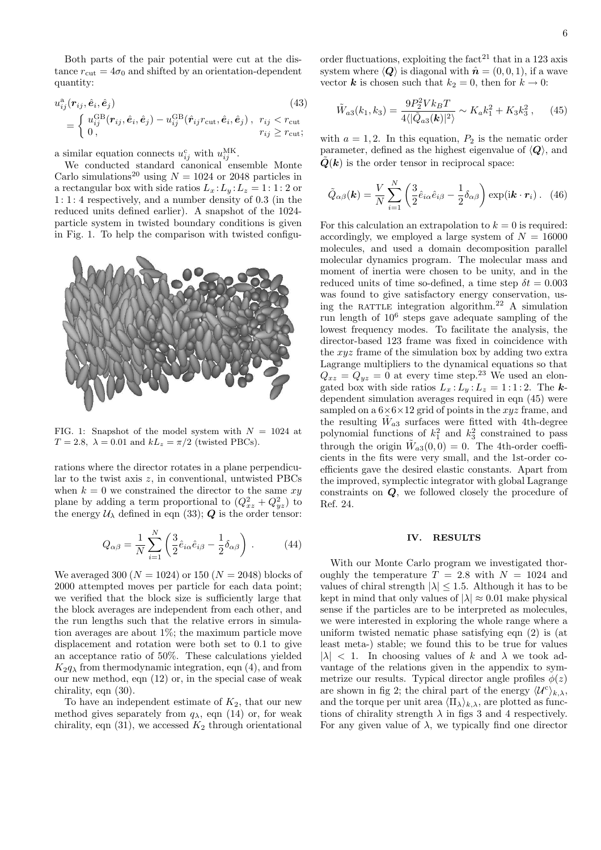Both parts of the pair potential were cut at the distance  $r_{\text{cut}} = 4\sigma_0$  and shifted by an orientation-dependent quantity:

$$
u_{ij}^{\mathbf{a}}(\mathbf{r}_{ij}, \hat{\mathbf{e}}_i, \hat{\mathbf{e}}_j)
$$
\n
$$
= \begin{cases} u_{ij}^{\text{GB}}(\mathbf{r}_{ij}, \hat{\mathbf{e}}_i, \hat{\mathbf{e}}_j) - u_{ij}^{\text{GB}}(\hat{\mathbf{r}}_{ij}r_{\text{cut}}, \hat{\mathbf{e}}_i, \hat{\mathbf{e}}_j), & r_{ij} < r_{\text{cut}} \\ 0, & r_{ij} \ge r_{\text{cut}}; \end{cases}
$$
\n(43)

a similar equation connects  $u_{ij}^{\rm c}$  with  $u_{ij}^{\rm MK}$ .

We conducted standard canonical ensemble Monte Carlo simulations<sup>20</sup> using  $N = 1024$  or 2048 particles in a rectangular box with side ratios  $L_x : L_y : L_z = 1 : 1 : 2$  or 1 : 1 : 4 respectively, and a number density of 0.3 (in the reduced units defined earlier). A snapshot of the 1024 particle system in twisted boundary conditions is given in Fig. 1. To help the comparison with twisted configu-



FIG. 1: Snapshot of the model system with  $N = 1024$  at  $T = 2.8$ ,  $\lambda = 0.01$  and  $kL_z = \pi/2$  (twisted PBCs).

rations where the director rotates in a plane perpendicular to the twist axis z, in conventional, untwisted PBCs when  $k = 0$  we constrained the director to the same  $xy$ plane by adding a term proportional to  $(Q_{xz}^2 + Q_{yz}^2)$  to the energy  $U_{\lambda}$  defined in eqn (33); Q is the order tensor:

$$
Q_{\alpha\beta} = \frac{1}{N} \sum_{i=1}^{N} \left( \frac{3}{2} \hat{e}_{i\alpha} \hat{e}_{i\beta} - \frac{1}{2} \delta_{\alpha\beta} \right) . \tag{44}
$$

We averaged 300 ( $N = 1024$ ) or 150 ( $N = 2048$ ) blocks of 2000 attempted moves per particle for each data point; we verified that the block size is sufficiently large that the block averages are independent from each other, and the run lengths such that the relative errors in simulation averages are about 1%; the maximum particle move displacement and rotation were both set to 0.1 to give an acceptance ratio of 50%. These calculations yielded  $K_2q_\lambda$  from thermodynamic integration, eqn (4), and from our new method, eqn (12) or, in the special case of weak chirality, eqn (30).

To have an independent estimate of  $K_2$ , that our new method gives separately from  $q_{\lambda}$ , eqn (14) or, for weak chirality, eqn (31), we accessed  $K_2$  through orientational order fluctuations, exploiting the fact<sup>21</sup> that in a 123 axis system where  $\langle \mathbf{Q} \rangle$  is diagonal with  $\hat{\mathbf{n}} = (0, 0, 1)$ , if a wave vector **k** is chosen such that  $k_2 = 0$ , then for  $k \to 0$ :

$$
\tilde{W}_{a3}(k_1, k_3) = \frac{9P_2^2 V k_B T}{4\langle |\tilde{Q}_{a3}(\mathbf{k})|^2 \rangle} \sim K_a k_1^2 + K_3 k_3^2 ,\qquad (45)
$$

with  $a = 1, 2$ . In this equation,  $P_2$  is the nematic order parameter, defined as the highest eigenvalue of  $\langle \mathbf{Q} \rangle$ , and  $\tilde{Q}(k)$  is the order tensor in reciprocal space:

$$
\tilde{Q}_{\alpha\beta}(\mathbf{k}) = \frac{V}{N} \sum_{i=1}^{N} \left( \frac{3}{2} \hat{e}_{i\alpha} \hat{e}_{i\beta} - \frac{1}{2} \delta_{\alpha\beta} \right) \exp(i\mathbf{k} \cdot \mathbf{r}_i).
$$
 (46)

For this calculation an extrapolation to  $k = 0$  is required: accordingly, we employed a large system of  $N = 16000$ molecules, and used a domain decomposition parallel molecular dynamics program. The molecular mass and moment of inertia were chosen to be unity, and in the reduced units of time so-defined, a time step  $\delta t = 0.003$ was found to give satisfactory energy conservation, using the RATTLE integration algorithm.<sup>22</sup> A simulation run length of 10<sup>6</sup> steps gave adequate sampling of the lowest frequency modes. To facilitate the analysis, the director-based 123 frame was fixed in coincidence with the xyz frame of the simulation box by adding two extra Lagrange multipliers to the dynamical equations so that  $Q_{xz} = Q_{yz} = 0$  at every time step.<sup>23</sup> We used an elongated box with side ratios  $L_x : L_y : L_z = 1 : 1 : 2$ . The kdependent simulation averages required in eqn (45) were sampled on a  $6\times6\times12$  grid of points in the xyz frame, and the resulting  $\tilde{W}_{a3}$  surfaces were fitted with 4th-degree polynomial functions of  $k_1^2$  and  $k_3^2$  constrained to pass through the origin  $\tilde{W}_{a3}(0,0) = 0$ . The 4th-order coefficients in the fits were very small, and the 1st-order coefficients gave the desired elastic constants. Apart from the improved, symplectic integrator with global Lagrange constraints on Q, we followed closely the procedure of Ref. 24.

### IV. RESULTS

With our Monte Carlo program we investigated thoroughly the temperature  $T = 2.8$  with  $N = 1024$  and values of chiral strength  $|\lambda| \leq 1.5$ . Although it has to be kept in mind that only values of  $|\lambda| \approx 0.01$  make physical sense if the particles are to be interpreted as molecules, we were interested in exploring the whole range where a uniform twisted nematic phase satisfying eqn (2) is (at least meta-) stable; we found this to be true for values  $|\lambda|$  < 1. In choosing values of k and  $\lambda$  we took advantage of the relations given in the appendix to symmetrize our results. Typical director angle profiles  $\phi(z)$ are shown in fig 2; the chiral part of the energy  $\langle U^c \rangle_{k,\lambda}$ , and the torque per unit area  $\langle \Pi_{\lambda} \rangle_{k,\lambda}$ , are plotted as functions of chirality strength  $\lambda$  in figs 3 and 4 respectively. For any given value of  $\lambda$ , we typically find one director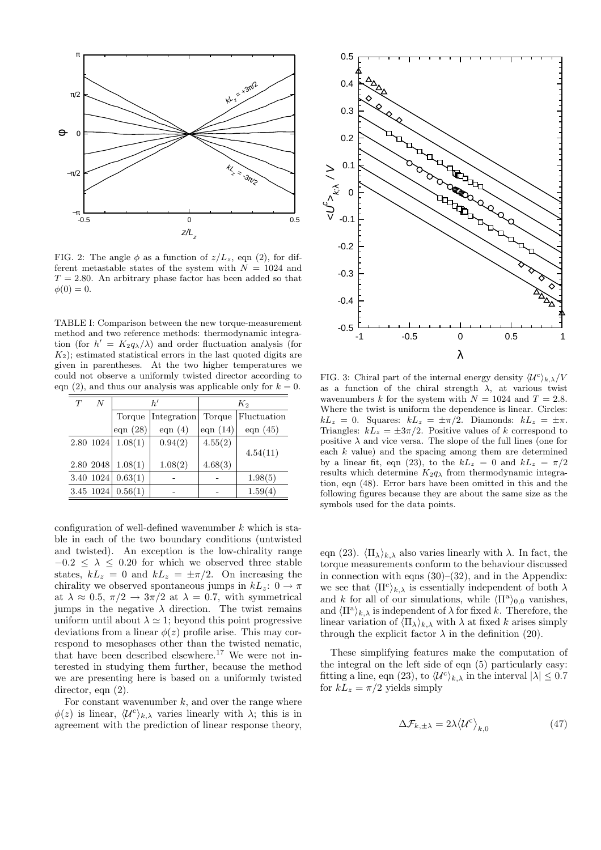

FIG. 2: The angle  $\phi$  as a function of  $z/L_z$ , eqn (2), for different metastable states of the system with  $N = 1024$  and  $T = 2.80$ . An arbitrary phase factor has been added so that  $\phi(0) = 0.$ 

TABLE I: Comparison between the new torque-measurement method and two reference methods: thermodynamic integration (for  $h' = K_2 q_\lambda/\lambda$ ) and order fluctuation analysis (for  $K<sub>2</sub>$ ; estimated statistical errors in the last quoted digits are given in parentheses. At the two higher temperatures we could not observe a uniformly twisted director according to eqn (2), and thus our analysis was applicable only for  $k = 0$ .

| T | N         | h!         |             | $K_2$      |             |
|---|-----------|------------|-------------|------------|-------------|
|   |           | Torque     | Integration | Torque     | Fluctuation |
|   |           | eqn $(28)$ | eqn $(4)$   | eqn $(14)$ | eqn $(45)$  |
|   | 2.80 1024 | 1.08(1)    | 0.94(2)     | 4.55(2)    |             |
|   |           |            |             |            | 4.54(11)    |
|   | 2.80 2048 | 1.08(1)    | 1.08(2)     | 4.68(3)    |             |
|   | 3.40 1024 | 0.63(1)    |             |            | 1.98(5)     |
|   | 3.45 1024 | 0.56(1)    |             |            | 1.59(4)     |

configuration of well-defined wavenumber  $k$  which is stable in each of the two boundary conditions (untwisted and twisted). An exception is the low-chirality range  $-0.2 \leq \lambda \leq 0.20$  for which we observed three stable states,  $kL_z = 0$  and  $kL_z = \pm \pi/2$ . On increasing the chirality we observed spontaneous jumps in  $kL_z$ :  $0 \rightarrow \pi$ at  $\lambda \approx 0.5$ ,  $\pi/2 \rightarrow 3\pi/2$  at  $\lambda = 0.7$ , with symmetrical jumps in the negative  $\lambda$  direction. The twist remains uniform until about  $\lambda \simeq 1$ ; beyond this point progressive deviations from a linear  $\phi(z)$  profile arise. This may correspond to mesophases other than the twisted nematic, that have been described elsewhere.<sup>17</sup> We were not interested in studying them further, because the method we are presenting here is based on a uniformly twisted director, eqn  $(2)$ .

For constant wavenumber  $k$ , and over the range where  $\phi(z)$  is linear,  $\langle \mathcal{U}^c \rangle_{k,\lambda}$  varies linearly with  $\lambda$ ; this is in agreement with the prediction of linear response theory,



FIG. 3: Chiral part of the internal energy density  $\langle \mathcal{U}^c \rangle_{k,\lambda}/V$ as a function of the chiral strength  $\lambda$ , at various twist wavenumbers k for the system with  $N = 1024$  and  $T = 2.8$ . Where the twist is uniform the dependence is linear. Circles:  $kL_z = 0$ . Squares:  $kL_z = \pm \pi/2$ . Diamonds:  $kL_z = \pm \pi$ . Triangles:  $kL_z = \pm 3\pi/2$ . Positive values of k correspond to positive  $\lambda$  and vice versa. The slope of the full lines (one for each  $k$  value) and the spacing among them are determined by a linear fit, eqn (23), to the  $kL_z = 0$  and  $kL_z = \pi/2$ results which determine  $K_2q_\lambda$  from thermodynamic integration, eqn (48). Error bars have been omitted in this and the following figures because they are about the same size as the symbols used for the data points.

eqn (23).  $\langle \Pi_{\lambda} \rangle_{k,\lambda}$  also varies linearly with  $\lambda$ . In fact, the torque measurements conform to the behaviour discussed in connection with eqns  $(30)$ – $(32)$ , and in the Appendix: we see that  $\langle \Pi^c \rangle_{k,\lambda}$  is essentially independent of both  $\lambda$ and k for all of our simulations, while  $\langle \Pi^a \rangle_{0,0}$  vanishes, and  $\langle \Pi^{\mathbf{a}} \rangle_{k,\lambda}$  is independent of  $\lambda$  for fixed k. Therefore, the linear variation of  $\langle \Pi_{\lambda} \rangle_{k,\lambda}$  with  $\lambda$  at fixed k arises simply through the explicit factor  $\lambda$  in the definition (20).

These simplifying features make the computation of the integral on the left side of eqn (5) particularly easy: fitting a line, eqn (23), to  $\langle \mathcal{U}^c \rangle_{k,\lambda}$  in the interval  $|\lambda| \leq 0.7$ for  $kL_z = \pi/2$  yields simply

$$
\Delta \mathcal{F}_{k,\pm\lambda} = 2\lambda \langle \mathcal{U}^c \rangle_{k,0} \tag{47}
$$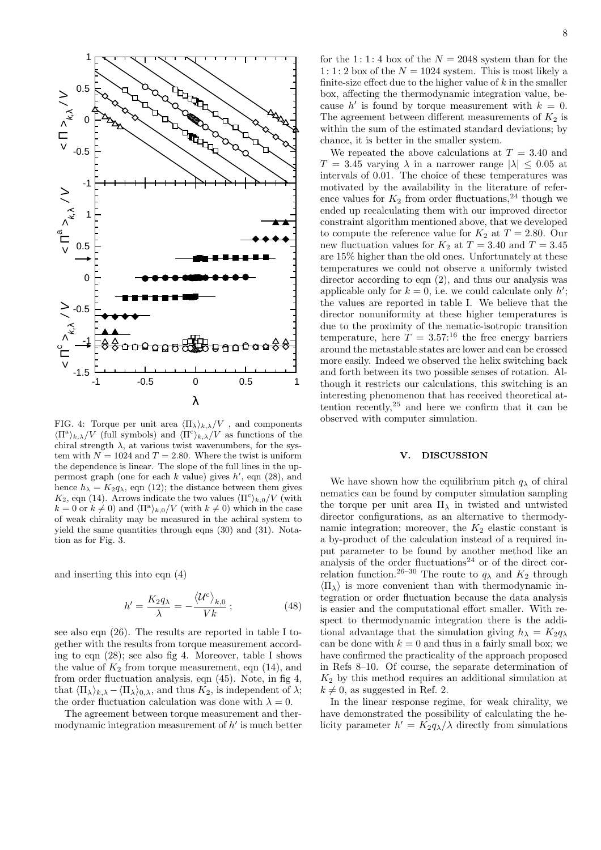

FIG. 4: Torque per unit area  $\langle \Pi_{\lambda} \rangle_{k,\lambda}/V$ , and components  $\langle \Pi^{\alpha} \rangle_{k,\lambda}/V$  (full symbols) and  $\langle \Pi^{c} \rangle_{k,\lambda}/V$  as functions of the chiral strength  $\lambda$ , at various twist wavenumbers, for the system with  $N = 1024$  and  $T = 2.80$ . Where the twist is uniform the dependence is linear. The slope of the full lines in the uppermost graph (one for each k value) gives  $h'$ , eqn (28), and hence  $h_{\lambda} = K_2 q_{\lambda}$ , eqn (12); the distance between them gives  $K_2$ , eqn (14). Arrows indicate the two values  $\langle \Pi^c \rangle_{k,0}/V$  (with  $k = 0$  or  $k \neq 0$ ) and  $\langle \Pi^a \rangle_{k,0}/V$  (with  $k \neq 0$ ) which in the case of weak chirality may be measured in the achiral system to yield the same quantities through eqns (30) and (31). Notation as for Fig. 3.

and inserting this into eqn (4)

$$
h' = \frac{K_2 q_\lambda}{\lambda} = -\frac{\langle \mathcal{U}^c \rangle_{k,0}}{V k};\tag{48}
$$

see also eqn (26). The results are reported in table I together with the results from torque measurement according to eqn (28); see also fig 4. Moreover, table I shows the value of  $K_2$  from torque measurement, eqn  $(14)$ , and from order fluctuation analysis, eqn (45). Note, in fig 4, that  $\langle \Pi_{\lambda} \rangle_{k,\lambda} - \langle \Pi_{\lambda} \rangle_{0,\lambda}$ , and thus  $K_2$ , is independent of  $\lambda$ ; the order fluctuation calculation was done with  $\lambda = 0$ .

The agreement between torque measurement and thermodynamic integration measurement of  $h'$  is much better for the 1:1:4 box of the  $N = 2048$  system than for the 1: 1: 2 box of the  $N = 1024$  system. This is most likely a finite-size effect due to the higher value of  $k$  in the smaller box, affecting the thermodynamic integration value, because h' is found by torque measurement with  $k = 0$ . The agreement between different measurements of  $K_2$  is within the sum of the estimated standard deviations; by chance, it is better in the smaller system.

We repeated the above calculations at  $T = 3.40$  and  $T = 3.45$  varying  $\lambda$  in a narrower range  $|\lambda| \leq 0.05$  at intervals of 0.01. The choice of these temperatures was motivated by the availability in the literature of reference values for  $K_2$  from order fluctuations,<sup>24</sup> though we ended up recalculating them with our improved director constraint algorithm mentioned above, that we developed to compute the reference value for  $K_2$  at  $T = 2.80$ . Our new fluctuation values for  $K_2$  at  $T = 3.40$  and  $T = 3.45$ are 15% higher than the old ones. Unfortunately at these temperatures we could not observe a uniformly twisted director according to eqn (2), and thus our analysis was applicable only for  $k = 0$ , i.e. we could calculate only  $h'$ ; the values are reported in table I. We believe that the director nonuniformity at these higher temperatures is due to the proximity of the nematic-isotropic transition temperature, here  $T = 3.57$ <sup>16</sup> the free energy barriers around the metastable states are lower and can be crossed more easily. Indeed we observed the helix switching back and forth between its two possible senses of rotation. Although it restricts our calculations, this switching is an interesting phenomenon that has received theoretical attention recently, <sup>25</sup> and here we confirm that it can be observed with computer simulation.

#### V. DISCUSSION

We have shown how the equilibrium pitch  $q_{\lambda}$  of chiral nematics can be found by computer simulation sampling the torque per unit area  $\Pi_{\lambda}$  in twisted and untwisted director configurations, as an alternative to thermodynamic integration; moreover, the  $K_2$  elastic constant is a by-product of the calculation instead of a required input parameter to be found by another method like an analysis of the order fluctuations<sup>24</sup> or of the direct correlation function.<sup>26–30</sup> The route to  $q_{\lambda}$  and  $K_2$  through  $\langle \Pi_{\lambda} \rangle$  is more convenient than with thermodynamic integration or order fluctuation because the data analysis is easier and the computational effort smaller. With respect to thermodynamic integration there is the additional advantage that the simulation giving  $h_{\lambda} = K_2 q_{\lambda}$ can be done with  $k = 0$  and thus in a fairly small box; we have confirmed the practicality of the approach proposed in Refs 8–10. Of course, the separate determination of  $K_2$  by this method requires an additional simulation at  $k \neq 0$ , as suggested in Ref. 2.

In the linear response regime, for weak chirality, we have demonstrated the possibility of calculating the helicity parameter  $h' = K_2 q_\lambda / \lambda$  directly from simulations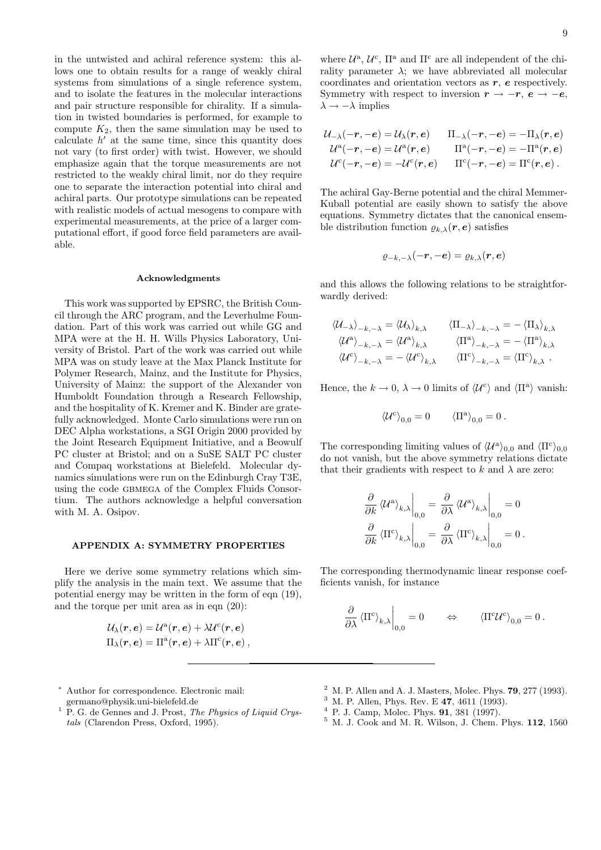in the untwisted and achiral reference system: this allows one to obtain results for a range of weakly chiral systems from simulations of a single reference system, and to isolate the features in the molecular interactions and pair structure responsible for chirality. If a simulation in twisted boundaries is performed, for example to compute  $K_2$ , then the same simulation may be used to calculate  $h'$  at the same time, since this quantity does not vary (to first order) with twist. However, we should emphasize again that the torque measurements are not restricted to the weakly chiral limit, nor do they require one to separate the interaction potential into chiral and achiral parts. Our prototype simulations can be repeated with realistic models of actual mesogens to compare with experimental measurements, at the price of a larger computational effort, if good force field parameters are available.

#### Acknowledgments

This work was supported by EPSRC, the British Council through the ARC program, and the Leverhulme Foundation. Part of this work was carried out while GG and MPA were at the H. H. Wills Physics Laboratory, University of Bristol. Part of the work was carried out while MPA was on study leave at the Max Planck Institute for Polymer Research, Mainz, and the Institute for Physics, University of Mainz: the support of the Alexander von Humboldt Foundation through a Research Fellowship, and the hospitality of K. Kremer and K. Binder are gratefully acknowledged. Monte Carlo simulations were run on DEC Alpha workstations, a SGI Origin 2000 provided by the Joint Research Equipment Initiative, and a Beowulf PC cluster at Bristol; and on a SuSE SALT PC cluster and Compaq workstations at Bielefeld. Molecular dynamics simulations were run on the Edinburgh Cray T3E, using the code gbmega of the Complex Fluids Consortium. The authors acknowledge a helpful conversation with M. A. Osipov.

# APPENDIX A: SYMMETRY PROPERTIES

Here we derive some symmetry relations which simplify the analysis in the main text. We assume that the potential energy may be written in the form of eqn (19), and the torque per unit area as in eqn (20):

$$
\mathcal{U}_\lambda(\boldsymbol{r},\boldsymbol{e}) = \mathcal{U}^\mathrm{a}(\boldsymbol{r},\boldsymbol{e}) + \lambda \mathcal{U}^\mathrm{c}(\boldsymbol{r},\boldsymbol{e}) \\ \Pi_\lambda(\boldsymbol{r},\boldsymbol{e}) = \Pi^\mathrm{a}(\boldsymbol{r},\boldsymbol{e}) + \lambda \Pi^\mathrm{c}(\boldsymbol{r},\boldsymbol{e})\,,
$$

<sup>∗</sup> Author for correspondence. Electronic mail:

- germano@physik.uni-bielefeld.de
- $1$  P. G. de Gennes and J. Prost, The Physics of Liquid Crystals (Clarendon Press, Oxford, 1995).

where  $\mathcal{U}^{\mathsf{a}}, \mathcal{U}^{\mathsf{c}}, \Pi^{\mathsf{a}}$  and  $\Pi^{\mathsf{c}}$  are all independent of the chirality parameter  $\lambda$ ; we have abbreviated all molecular coordinates and orientation vectors as  $r$ ,  $e$  respectively. Symmetry with respect to inversion  $r \rightarrow -r, e \rightarrow -e$ ,  $\lambda \rightarrow -\lambda$  implies

$$
\mathcal{U}_{-\lambda}(-r,-e) = \mathcal{U}_{\lambda}(r,e) \qquad \Pi_{-\lambda}(-r,-e) = -\Pi_{\lambda}(r,e) \n\mathcal{U}^{a}(-r,-e) = \mathcal{U}^{a}(r,e) \qquad \Pi^{a}(-r,-e) = -\Pi^{a}(r,e) \n\mathcal{U}^{c}(-r,-e) = -\mathcal{U}^{c}(r,e) \qquad \Pi^{c}(-r,-e) = \Pi^{c}(r,e) .
$$

The achiral Gay-Berne potential and the chiral Memmer-Kuball potential are easily shown to satisfy the above equations. Symmetry dictates that the canonical ensemble distribution function  $\rho_{k,\lambda}(r,e)$  satisfies

$$
\varrho_{-k,-\lambda}(-\bm{r},-\bm{e})=\varrho_{k,\lambda}(\bm{r},\bm{e})
$$

and this allows the following relations to be straightforwardly derived:

$$
\langle \mathcal{U}_{-\lambda} \rangle_{-k,-\lambda} = \langle \mathcal{U}_{\lambda} \rangle_{k,\lambda} \qquad \langle \Pi_{-\lambda} \rangle_{-k,-\lambda} = - \langle \Pi_{\lambda} \rangle_{k,\lambda}
$$

$$
\langle \mathcal{U}^{\mathbf{a}} \rangle_{-k,-\lambda} = \langle \mathcal{U}^{\mathbf{a}} \rangle_{k,\lambda} \qquad \langle \Pi^{\mathbf{a}} \rangle_{-k,-\lambda} = - \langle \Pi^{\mathbf{a}} \rangle_{k,\lambda}
$$

$$
\langle \mathcal{U}^{\mathbf{c}} \rangle_{-k,-\lambda} = - \langle \mathcal{U}^{\mathbf{c}} \rangle_{k,\lambda} \qquad \langle \Pi^{\mathbf{c}} \rangle_{-k,-\lambda} = \langle \Pi^{\mathbf{c}} \rangle_{k,\lambda}.
$$

Hence, the  $k \to 0$ ,  $\lambda \to 0$  limits of  $\langle U^c \rangle$  and  $\langle \Pi^a \rangle$  vanish:

$$
\langle \mathcal{U}^c \rangle_{0,0} = 0 \qquad \langle \Pi^a \rangle_{0,0} = 0 \, .
$$

The corresponding limiting values of  $\langle U^{\mathbf{a}} \rangle_{0,0}$  and  $\langle \Pi^{\mathbf{c}} \rangle_{0,0}$ do not vanish, but the above symmetry relations dictate that their gradients with respect to k and  $\lambda$  are zero:

$$
\frac{\partial}{\partial k} \left\langle \mathcal{U}^{\mathbf{a}} \right\rangle_{k,\lambda} \bigg|_{0,0} = \frac{\partial}{\partial \lambda} \left\langle \mathcal{U}^{\mathbf{a}} \right\rangle_{k,\lambda} \bigg|_{0,0} = 0
$$
  

$$
\frac{\partial}{\partial k} \left\langle \Pi^{\mathbf{c}} \right\rangle_{k,\lambda} \bigg|_{0,0} = \frac{\partial}{\partial \lambda} \left\langle \Pi^{\mathbf{c}} \right\rangle_{k,\lambda} \bigg|_{0,0} = 0.
$$

The corresponding thermodynamic linear response coefficients vanish, for instance

$$
\left.\frac{\partial}{\partial \lambda}\left\langle \Pi^c\right\rangle_{k,\lambda}\right|_{0,0}=0\qquad \Leftrightarrow\qquad \left\langle \Pi^c\mathcal{U}^c\right\rangle_{0,0}=0\,.
$$

- $2^{\circ}$  M. P. Allen and A. J. Masters, Molec. Phys. 79, 277 (1993).
- <sup>3</sup> M. P. Allen, Phys. Rev. E 47, 4611 (1993).
- <sup>4</sup> P. J. Camp, Molec. Phys. 91, 381 (1997).
- <sup>5</sup> M. J. Cook and M. R. Wilson, J. Chem. Phys. 112, 1560